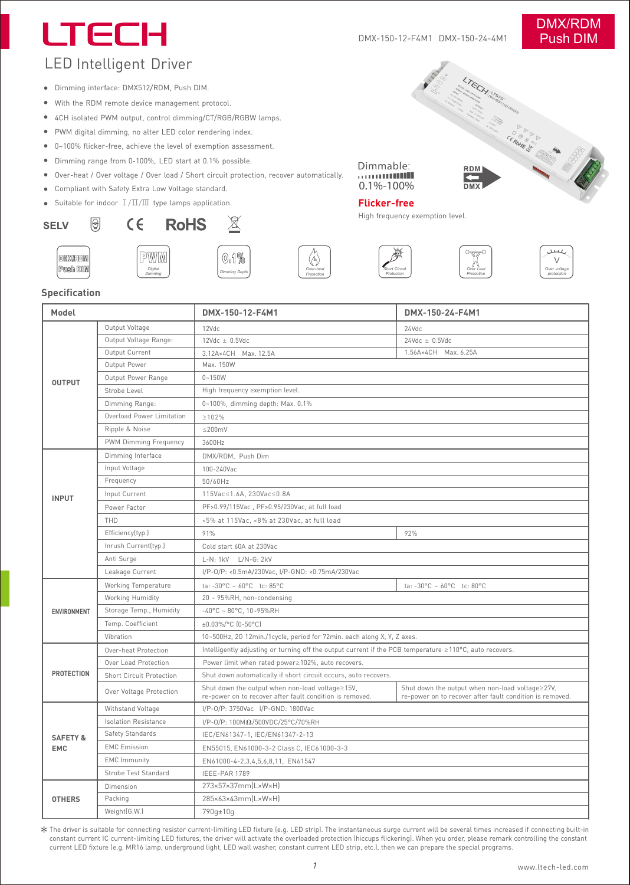# LTECH

#### DMX-150-12-F4M1 DMX-150-24-4M1

# DMX/RDM Push DIM

# LED Intelligent Driver

- Dimming interface: DMX512/RDM, Push DIM.
- With the RDM remote device management protocol.
- 4CH isolated PWM output, control dimming/CT/RGB/RGBW lamps.
- PWM digital dimming, no alter LED color rendering index.
- 0~100% flicker-free, achieve the level of exemption assessment.
- Dimming range from 0-100%, LED start at 0.1% possible.
- Over-heat / Over voltage / Over load / Short circuit protection, recover automatically.
- Compliant with Safety Extra Low Voltage standard.  $\bullet$
- Suitable for indoor Ⅰ/Ⅱ/Ⅲ type lamps application.

## **SELV**







*Over***-***heat Protection*

*Dimming Depth* 0.1%

X



Dimmable:  $0.1\% - 100\%$ 





**SINGLY INSTRUMENT OF THE REAL PROPERTY AND REAL PROPERTY AND SURVEY AND REAL PROPERTY.** 

*Over Load Protection*



# **Specification** Push DIM

DMX/RDM

®

| Model                             |                                 | DMX-150-12-F4M1                                                                                             | DMX-150-24-F4M1                                                                                             |
|-----------------------------------|---------------------------------|-------------------------------------------------------------------------------------------------------------|-------------------------------------------------------------------------------------------------------------|
| <b>OUTPUT</b>                     | Output Voltage                  | 12Vdc                                                                                                       | 24Vdc                                                                                                       |
|                                   | Output Voltage Range:           | $12$ Vdc $\pm$ 0.5Vdc                                                                                       | $24Vdc \pm 0.5Vdc$                                                                                          |
|                                   | Output Current                  | 3.12A×4CH Max. 12.5A                                                                                        | 1.56A×4CH Max. 6.25A                                                                                        |
|                                   | Output Power                    | Max. 150W                                                                                                   |                                                                                                             |
|                                   | Output Power Range              | $0 - 150W$                                                                                                  |                                                                                                             |
|                                   | Strobe Level                    | High frequency exemption level.                                                                             |                                                                                                             |
|                                   | Dimming Range:                  | 0~100%, dimming depth: Max. 0.1%                                                                            |                                                                                                             |
|                                   | Overload Power Limitation       | $\geq 102\%$                                                                                                |                                                                                                             |
|                                   | Ripple & Noise                  | $\leq$ 200mV                                                                                                |                                                                                                             |
|                                   | PWM Dimming Frequency           | 3600Hz                                                                                                      |                                                                                                             |
| <b>INPUT</b>                      | Dimming Interface               | DMX/RDM, Push Dim                                                                                           |                                                                                                             |
|                                   | Input Voltage                   | 100-240Vac                                                                                                  |                                                                                                             |
|                                   | Frequency                       | 50/60Hz                                                                                                     |                                                                                                             |
|                                   | Input Current                   | 115Vac≤1.6A, 230Vac≤0.8A                                                                                    |                                                                                                             |
|                                   | Power Factor                    | PF>0.99/115Vac, PF>0.95/230Vac, at full load                                                                |                                                                                                             |
|                                   | THD                             | <5% at 115Vac, <8% at 230Vac, at full load                                                                  |                                                                                                             |
|                                   | Efficiency(typ.)                | 91%                                                                                                         | 92%                                                                                                         |
|                                   | Inrush Current(typ.)            | Cold start 60A at 230Vac                                                                                    |                                                                                                             |
|                                   | Anti Surge                      | L-N: 1kV L/N-G: 2kV                                                                                         |                                                                                                             |
|                                   | Leakage Current                 | I/P-0/P: <0.5mA/230Vac, I/P-GND: <0.75mA/230Vac                                                             |                                                                                                             |
| ENVIRONMENT                       | Working Temperature             | ta: -30°C ~ 60°C tc: 85°C                                                                                   | ta: -30°C ~ 60°C tc: 80°C                                                                                   |
|                                   | Working Humidity                | 20 ~ 95%RH, non-condensing                                                                                  |                                                                                                             |
|                                   | Storage Temp., Humidity         | $-40^{\circ}$ C ~ 80°C, 10~95%RH                                                                            |                                                                                                             |
|                                   | Temp. Coefficient               | ±0.03%/°C (0-50°C)                                                                                          |                                                                                                             |
|                                   | Vibration                       | 10~500Hz, 2G 12min./1cycle, period for 72min. each along X, Y, Z axes.                                      |                                                                                                             |
| <b>PROTECTION</b>                 | Over-heat Protection            | Intelligently adjusting or turning off the output current if the PCB temperature ≥110°C, auto recovers.     |                                                                                                             |
|                                   | Over Load Protection            | Power limit when rated power≥102%, auto recovers.                                                           |                                                                                                             |
|                                   | <b>Short Circuit Protection</b> | Shut down automatically if short circuit occurs, auto recovers.                                             |                                                                                                             |
|                                   | Over Voltage Protection         | Shut down the output when non-load voltage≥15V,<br>re-power on to recover after fault condition is removed. | Shut down the output when non-load voltage≥27V,<br>re-power on to recover after fault condition is removed. |
| <b>SAFETY &amp;</b><br><b>EMC</b> | Withstand Voltage               | I/P-0/P: 3750Vac I/P-GND: 1800Vac                                                                           |                                                                                                             |
|                                   | <b>Isolation Resistance</b>     | I/P-0/P: $100M\Omega/500VDC/25°C/70%RH$                                                                     |                                                                                                             |
|                                   | Safety Standards                | IEC/EN61347-1, IEC/EN61347-2-13                                                                             |                                                                                                             |
|                                   | <b>EMC Emission</b>             | EN55015, EN61000-3-2 Class C, IEC61000-3-3                                                                  |                                                                                                             |
|                                   | <b>EMC Immunity</b>             | EN61000-4-2,3,4,5,6,8,11, EN61547                                                                           |                                                                                                             |
|                                   | Strobe Test Standard            | IEEE-PAR 1789                                                                                               |                                                                                                             |
| <b>OTHERS</b>                     | Dimension                       | 273×57×37mm(L×W×H)                                                                                          |                                                                                                             |
|                                   | Packing                         | 285×63×43mm(L×W×H)                                                                                          |                                                                                                             |
|                                   | Weight(G.W.)                    | 790g±10g                                                                                                    |                                                                                                             |

The driver is suitable for connecting resistor current-limiting LED fixture (e.g. LED strip). The instantaneous surge current will be several times increased if connecting built-in<br>constant current IC current-limiting LED